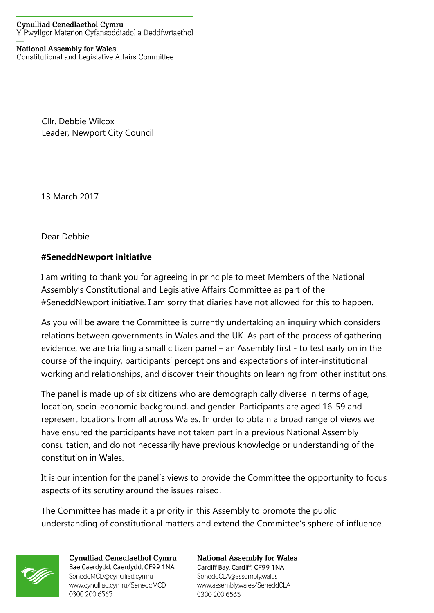## **Cynulliad Cenedlaethol Cymru** Y Pwyllgor Materion Cyfansoddiadol a Deddfwriaethol

## **National Assembly for Wales**

Constitutional and Legislative Affairs Committee

Cllr. Debbie Wilcox Leader, Newport City Council

13 March 2017

Dear Debbie

## **#SeneddNewport initiative**

I am writing to thank you for agreeing in principle to meet Members of the National Assembly's Constitutional and Legislative Affairs Committee as part of the #SeneddNewport initiative. I am sorry that diaries have not allowed for this to happen.

As you will be aware the Committee is currently undertaking an **[inquiry](http://senedd.assembly.wales/mgIssueHistoryHome.aspx?IId=16613)** which considers relations between governments in Wales and the UK. As part of the process of gathering evidence, we are trialling a small citizen panel – an Assembly first - to test early on in the course of the inquiry, participants' perceptions and expectations of inter-institutional working and relationships, and discover their thoughts on learning from other institutions.

The panel is made up of six citizens who are demographically diverse in terms of age, location, socio-economic background, and gender. Participants are aged 16-59 and represent locations from all across Wales. In order to obtain a broad range of views we have ensured the participants have not taken part in a previous National Assembly consultation, and do not necessarily have previous knowledge or understanding of the constitution in Wales.

It is our intention for the panel's views to provide the Committee the opportunity to focus aspects of its scrutiny around the issues raised.

The Committee has made it a priority in this Assembly to promote the public understanding of constitutional matters and extend the Committee's sphere of influence.



Cynulliad Cenedlaethol Cymru Bae Caerdydd, Caerdydd, CF99 1NA SeneddMCD@cynulliad.cymru www.cynulliad.cymru/SeneddMCD 0300 200 6565

## **National Assembly for Wales**

Cardiff Bay, Cardiff, CF99 1NA SeneddCLA@assembly.wales www.assembly.wales/SeneddCLA 0300 200 6565